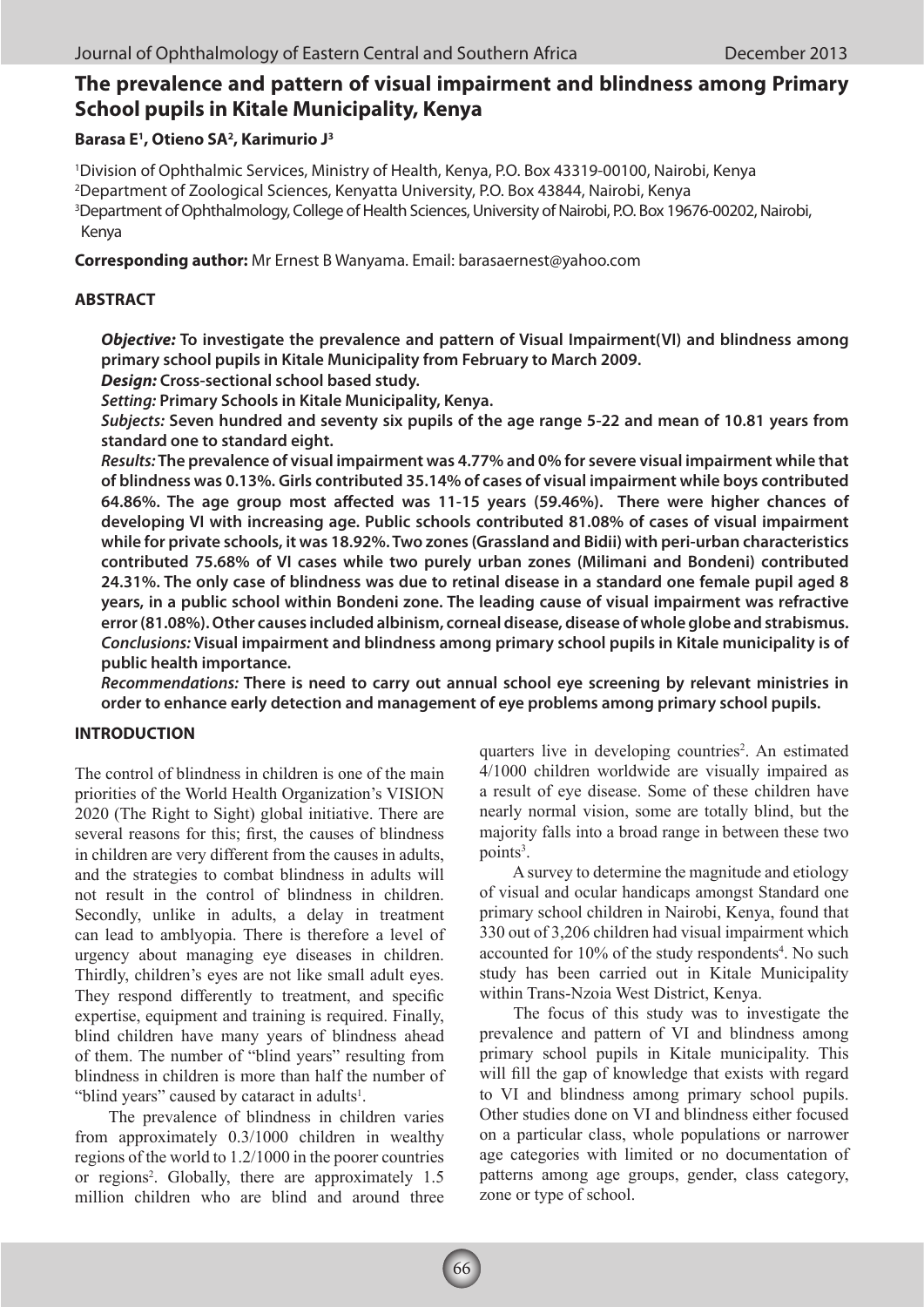# **The prevalence and pattern of visual impairment and blindness among Primary School pupils in Kitale Municipality, Kenya**

#### **Barasa E1 , Otieno SA2 , Karimurio J3**

1 Division of Ophthalmic Services, Ministry of Health, Kenya, P.O. Box 43319-00100, Nairobi, Kenya 2 Department of Zoological Sciences, Kenyatta University, P.O. Box 43844, Nairobi, Kenya <sup>3</sup>Department of Ophthalmology, College of Health Sciences, University of Nairobi, P.O. Box 19676-00202, Nairobi, Kenya

**Corresponding author:** Mr Ernest B Wanyama. Email: barasaernest@yahoo.com

### **ABSTRACT**

*Objective:* **To investigate the prevalence and pattern of Visual Impairment(VI) and blindness among primary school pupils in Kitale Municipality from February to March 2009.** 

*Design:* **Cross-sectional school based study.**

*Setting:* **Primary Schools in Kitale Municipality, Kenya.**

*Subjects:* **Seven hundred and seventy six pupils of the age range 5-22 and mean of 10.81 years from standard one to standard eight.** 

*Results:* **The prevalence of visual impairment was 4.77% and 0% for severe visual impairment while that of blindness was 0.13%. Girls contributed 35.14% of cases of visual impairment while boys contributed 64.86%. The age group most affected was 11-15 years (59.46%). There were higher chances of developing VI with increasing age. Public schools contributed 81.08% of cases of visual impairment while for private schools, it was 18.92%. Two zones (Grassland and Bidii) with peri-urban characteristics contributed 75.68% of VI cases while two purely urban zones (Milimani and Bondeni) contributed 24.31%. The only case of blindness was due to retinal disease in a standard one female pupil aged 8 years, in a public school within Bondeni zone. The leading cause of visual impairment was refractive error (81.08%). Other causes included albinism, corneal disease, disease of whole globe and strabismus.** *Conclusions:* **Visual impairment and blindness among primary school pupils in Kitale municipality is of public health importance.** 

*Recommendations:* **There is need to carry out annual school eye screening by relevant ministries in order to enhance early detection and management of eye problems among primary school pupils.** 

## **INTRODUCTION**

The control of blindness in children is one of the main priorities of the World Health Organization's VISION 2020 (The Right to Sight) global initiative. There are several reasons for this; first, the causes of blindness in children are very different from the causes in adults, and the strategies to combat blindness in adults will not result in the control of blindness in children. Secondly, unlike in adults, a delay in treatment can lead to amblyopia. There is therefore a level of urgency about managing eye diseases in children. Thirdly, children's eyes are not like small adult eyes. They respond differently to treatment, and specific expertise, equipment and training is required. Finally, blind children have many years of blindness ahead of them. The number of "blind years" resulting from blindness in children is more than half the number of "blind years" caused by cataract in adults $<sup>1</sup>$ .</sup>

 The prevalence of blindness in children varies from approximately 0.3/1000 children in wealthy regions of the world to 1.2/1000 in the poorer countries or regions<sup>2</sup>. Globally, there are approximately 1.5 million children who are blind and around three

quarters live in developing countries<sup>2</sup>. An estimated 4/1000 children worldwide are visually impaired as a result of eye disease. Some of these children have nearly normal vision, some are totally blind, but the majority falls into a broad range in between these two points<sup>3</sup>.

 A survey to determine the magnitude and etiology of visual and ocular handicaps amongst Standard one primary school children in Nairobi, Kenya, found that 330 out of 3,206 children had visual impairment which accounted for 10% of the study respondents<sup>4</sup>. No such study has been carried out in Kitale Municipality within Trans-Nzoia West District, Kenya.

 The focus of this study was to investigate the prevalence and pattern of VI and blindness among primary school pupils in Kitale municipality. This will fill the gap of knowledge that exists with regard to VI and blindness among primary school pupils. Other studies done on VI and blindness either focused on a particular class, whole populations or narrower age categories with limited or no documentation of patterns among age groups, gender, class category, zone or type of school.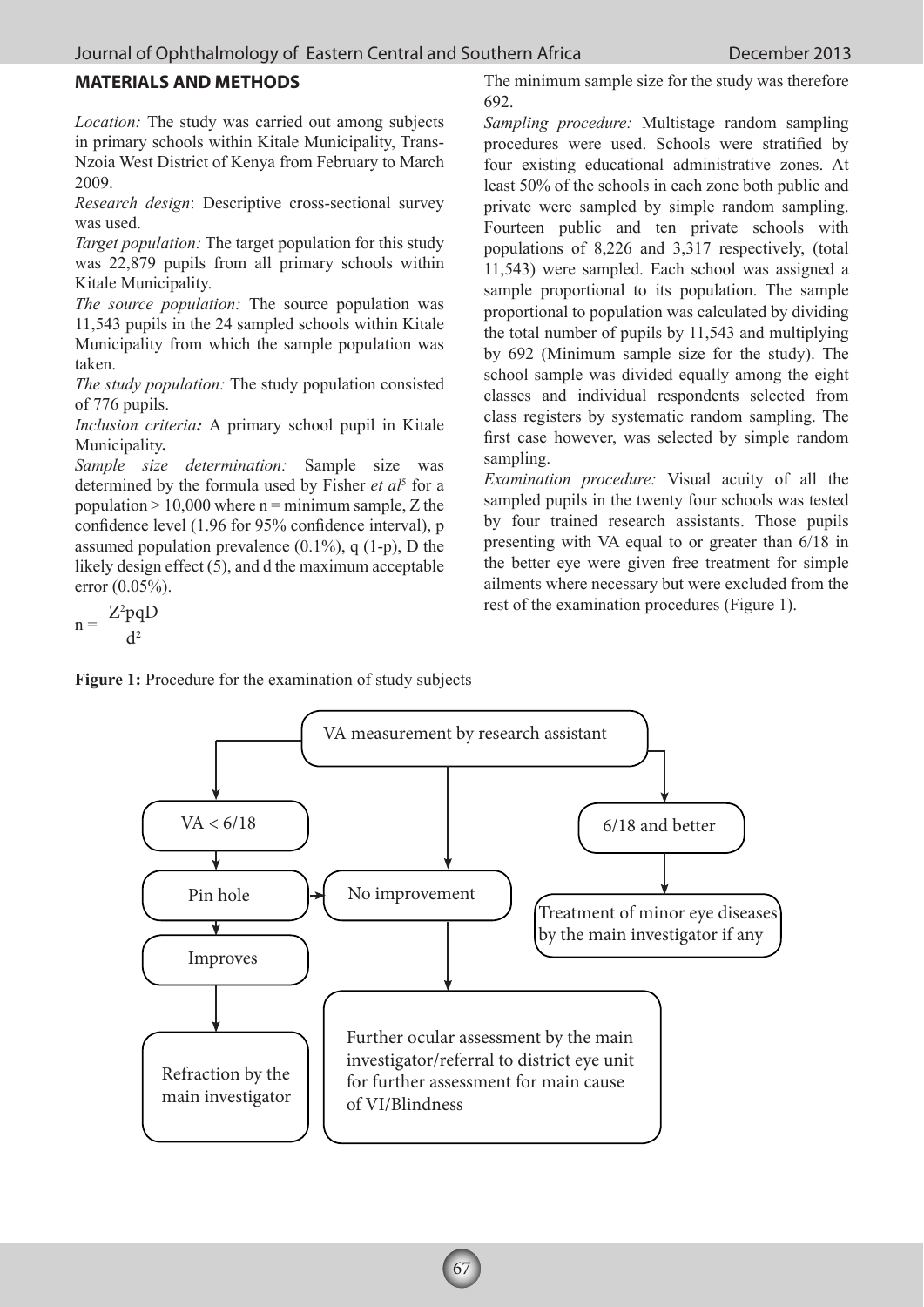## **MATERIALS AND METHODS**

*Location:* The study was carried out among subjects in primary schools within Kitale Municipality, Trans-Nzoia West District of Kenya from February to March 2009.

*Research design*: Descriptive cross-sectional survey was used.

*Target population:* The target population for this study was 22,879 pupils from all primary schools within Kitale Municipality.

*The source population:* The source population was 11,543 pupils in the 24 sampled schools within Kitale Municipality from which the sample population was taken.

*The study population:* The study population consisted of 776 pupils.

*Inclusion criteria:* A primary school pupil in Kitale Municipality*.* 

*Sample size determination:* Sample size was determined by the formula used by Fisher *et al*<sup>5</sup> for a population  $> 10,000$  where n = minimum sample, Z the confidence level (1.96 for 95% confidence interval), p assumed population prevalence  $(0.1\%)$ , q  $(1-p)$ , D the likely design effect (5), and d the maximum acceptable error (0.05%).

$$
n = \frac{Z^2 pqD}{d^2}
$$

The minimum sample size for the study was therefore 692.

*Sampling procedure:* Multistage random sampling procedures were used. Schools were stratified by four existing educational administrative zones. At least 50% of the schools in each zone both public and private were sampled by simple random sampling. Fourteen public and ten private schools with populations of 8,226 and 3,317 respectively, (total 11,543) were sampled. Each school was assigned a sample proportional to its population. The sample proportional to population was calculated by dividing the total number of pupils by 11,543 and multiplying by 692 (Minimum sample size for the study). The school sample was divided equally among the eight classes and individual respondents selected from class registers by systematic random sampling. The first case however, was selected by simple random sampling.

*Examination procedure:* Visual acuity of all the sampled pupils in the twenty four schools was tested by four trained research assistants. Those pupils presenting with VA equal to or greater than 6/18 in the better eye were given free treatment for simple ailments where necessary but were excluded from the rest of the examination procedures (Figure 1).

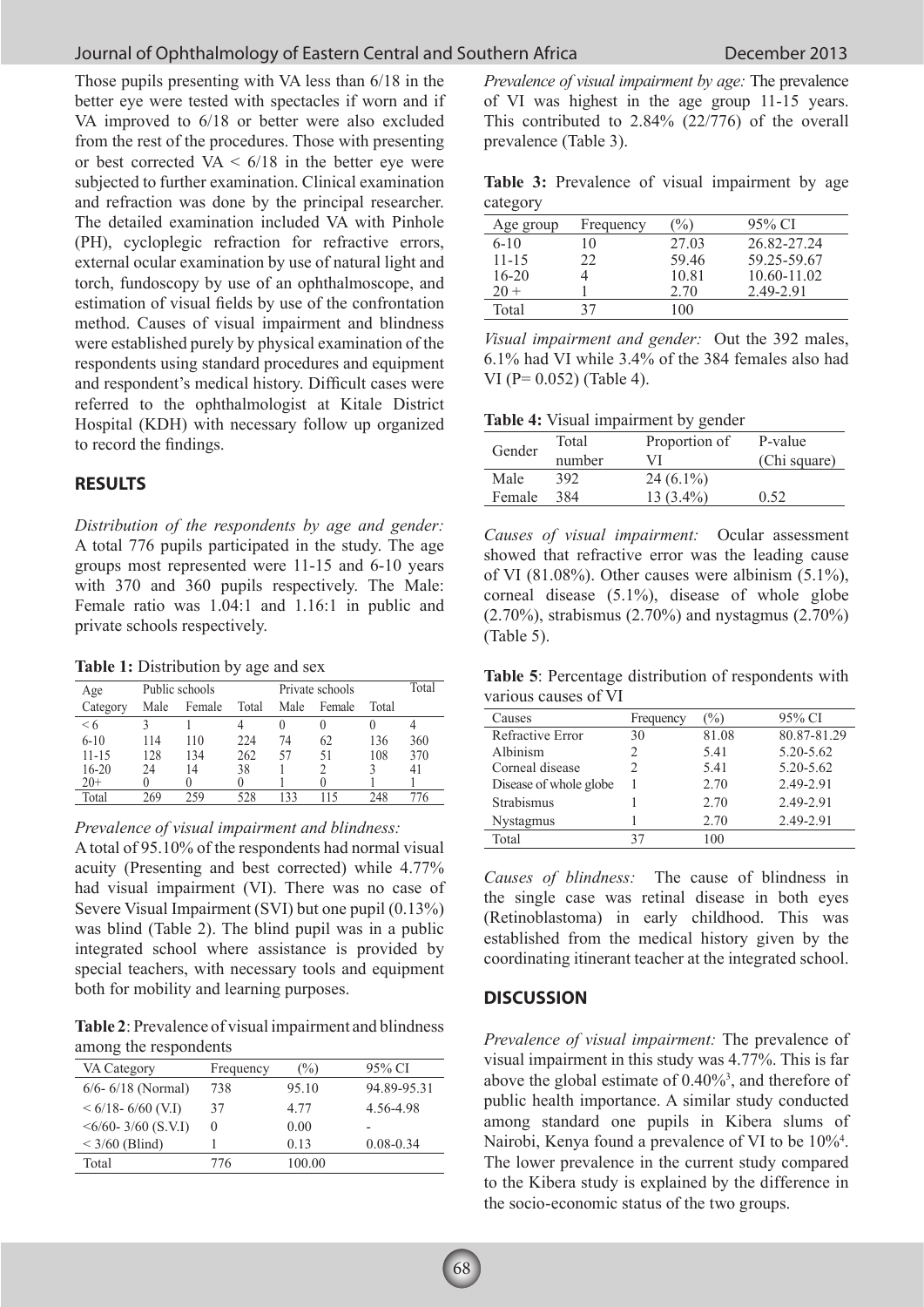# **Journal of Ophthalmology of Eastern Central and Southern Africa** December 2013

Those pupils presenting with VA less than 6/18 in the better eye were tested with spectacles if worn and if VA improved to 6/18 or better were also excluded from the rest of the procedures. Those with presenting or best corrected  $VA < 6/18$  in the better eye were subjected to further examination. Clinical examination and refraction was done by the principal researcher. The detailed examination included VA with Pinhole (PH), cycloplegic refraction for refractive errors, external ocular examination by use of natural light and torch, fundoscopy by use of an ophthalmoscope, and estimation of visual fields by use of the confrontation method. Causes of visual impairment and blindness were established purely by physical examination of the respondents using standard procedures and equipment and respondent's medical history. Difficult cases were referred to the ophthalmologist at Kitale District Hospital (KDH) with necessary follow up organized to record the findings.

#### **RESULTS**

*Distribution of the respondents by age and gender:*  A total 776 pupils participated in the study. The age groups most represented were 11-15 and 6-10 years with 370 and 360 pupils respectively. The Male: Female ratio was 1.04:1 and 1.16:1 in public and private schools respectively.

**Table 1:** Distribution by age and sex

| Age       | Public schools |        | Private schools |      |          | Total |     |
|-----------|----------------|--------|-----------------|------|----------|-------|-----|
| Category  | Male           | Female | Total           | Male | Female   | Total |     |
| < 6       |                |        |                 |      | $\theta$ |       |     |
| $6 - 10$  | 114            | 110    | 224             | 74   | 62       | 136   | 360 |
| $11 - 15$ | 128            | 134    | 262             | 57   | 51       | 108   | 370 |
| 16-20     | 24             | 14     | 38              |      |          |       | 41  |
| 20+       |                |        |                 |      |          |       |     |
| Total     | 269            | 259    | 528             | 133  | 115      | 248   | /6  |

*Prevalence of visual impairment and blindness:* 

A total of 95.10% of the respondents had normal visual acuity (Presenting and best corrected) while 4.77% had visual impairment (VI). There was no case of Severe Visual Impairment (SVI) but one pupil (0.13%) was blind (Table 2). The blind pupil was in a public integrated school where assistance is provided by special teachers, with necessary tools and equipment both for mobility and learning purposes.

**Table 2**: Prevalence of visual impairment and blindness among the respondents

| VA Category                | Frequency | (%)    | 95% CI         |
|----------------------------|-----------|--------|----------------|
| $6/6 - 6/18$ (Normal)      | 738       | 95.10  | 94.89-95.31    |
| $< 6/18 - 6/60$ (V.I)      | 37        | 4 77   | 4.56-4.98      |
| $\leq 6/60 - 3/60$ (S.V.I) | $\theta$  | 0.00   | $\overline{a}$ |
| $<$ 3/60 (Blind)           |           | 013    | $0.08 - 0.34$  |
| Total                      | 776       | 100.00 |                |

*Prevalence of visual impairment by age:* The prevalence of VI was highest in the age group 11-15 years. This contributed to 2.84% (22/776) of the overall prevalence (Table 3).

**Table 3:** Prevalence of visual impairment by age category

| Age group | Frequency | (%)   | 95% CI          |
|-----------|-----------|-------|-----------------|
| $6 - 10$  | 10        | 27.03 | 26.82-27.24     |
| $11 - 15$ | 22        | 5946  | 59.25-59.67     |
| $16-20$   |           | 10.81 | $10.60 - 11.02$ |
| $20 +$    |           | 2.70  | 2.49-2.91       |
| Total     | 37        | 100   |                 |

*Visual impairment and gender:* Out the 392 males, 6.1% had VI while 3.4% of the 384 females also had VI (P= 0.052) (Table 4).

| Table 4: Visual impairment by gender |  |
|--------------------------------------|--|
|--------------------------------------|--|

|        | Total  | Proportion of | P-value      |  |
|--------|--------|---------------|--------------|--|
| Gender | number | VI            | (Chi square) |  |
| Male   | 392    | $24(6.1\%)$   |              |  |
| Female | 384    | $13(3.4\%)$   | 0.52         |  |

*Causes of visual impairment:* Ocular assessment showed that refractive error was the leading cause of VI (81.08%). Other causes were albinism  $(5.1\%)$ , corneal disease (5.1%), disease of whole globe (2.70%), strabismus (2.70%) and nystagmus (2.70%) (Table 5).

**Table 5**: Percentage distribution of respondents with various causes of VI

| Causes                 | Frequency | $\%$  | 95% CI      |
|------------------------|-----------|-------|-------------|
| Refractive Error       | 30        | 81.08 | 80.87-81.29 |
| Albinism               | 2         | 5.41  | 5.20-5.62   |
| Corneal disease        |           | 5.41  | 5.20-5.62   |
| Disease of whole globe |           | 2.70  | 2.49-2.91   |
| Strabismus             |           | 2.70  | 2.49-2.91   |
| <b>Nystagmus</b>       |           | 2.70  | 2.49-2.91   |
| Total                  | 37        | 100   |             |

*Causes of blindness:* The cause of blindness in the single case was retinal disease in both eyes (Retinoblastoma) in early childhood. This was established from the medical history given by the coordinating itinerant teacher at the integrated school.

## **DISCUSSION**

*Prevalence of visual impairment:* The prevalence of visual impairment in this study was 4.77%. This is far above the global estimate of  $0.40\%$ <sup>3</sup>, and therefore of public health importance. A similar study conducted among standard one pupils in Kibera slums of Nairobi, Kenya found a prevalence of VI to be  $10\%$ <sup>4</sup>. The lower prevalence in the current study compared to the Kibera study is explained by the difference in the socio-economic status of the two groups.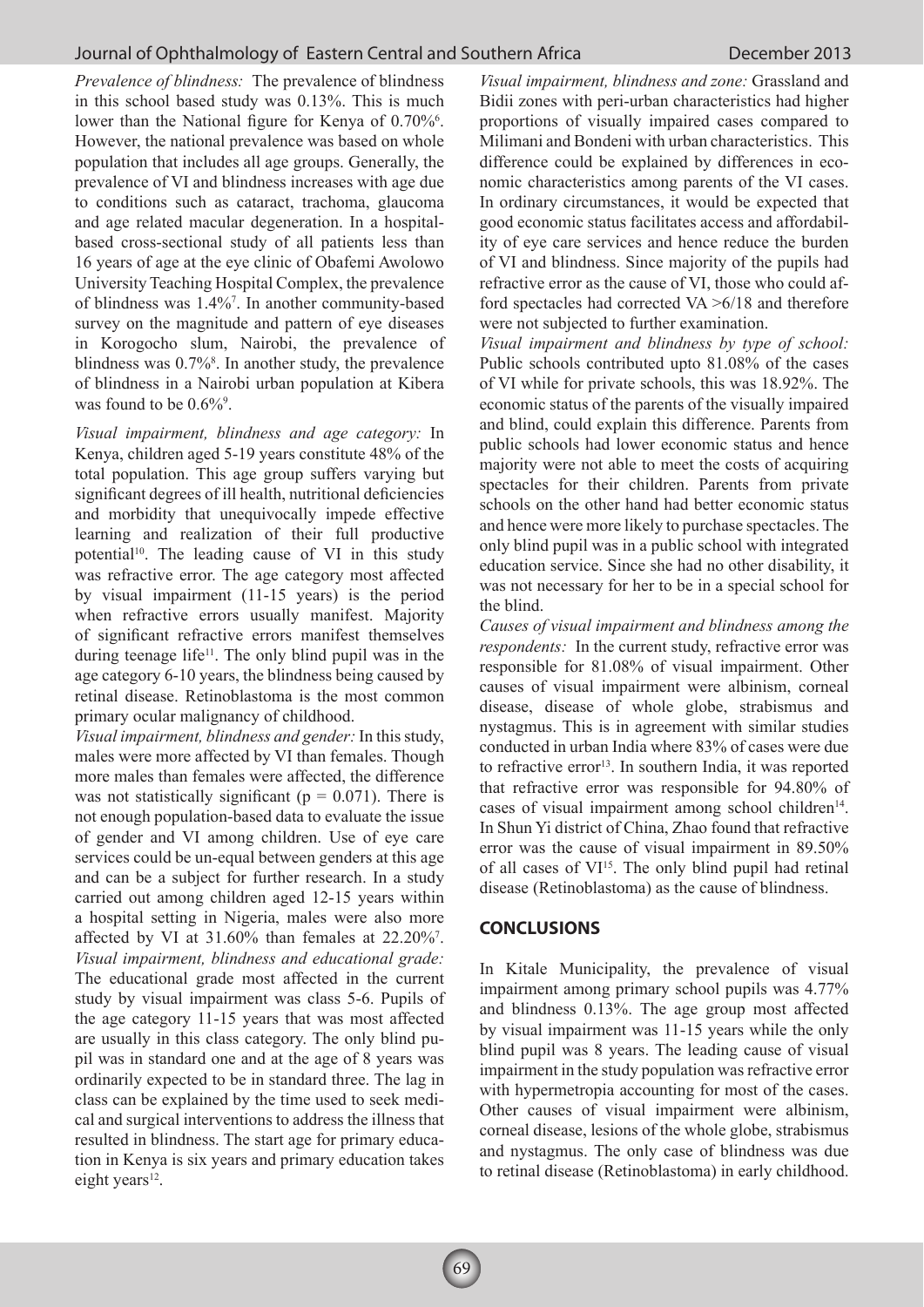*Prevalence of blindness:* The prevalence of blindness in this school based study was 0.13%. This is much lower than the National figure for Kenya of 0.70%<sup>6</sup>. However, the national prevalence was based on whole population that includes all age groups. Generally, the prevalence of VI and blindness increases with age due to conditions such as cataract, trachoma, glaucoma and age related macular degeneration. In a hospitalbased cross-sectional study of all patients less than 16 years of age at the eye clinic of Obafemi Awolowo University Teaching Hospital Complex, the prevalence of blindness was 1.4%7 . In another community-based survey on the magnitude and pattern of eye diseases in Korogocho slum, Nairobi, the prevalence of blindness was 0.7%<sup>8</sup>. In another study, the prevalence of blindness in a Nairobi urban population at Kibera was found to be  $0.6\%$ <sup>9</sup>.

*Visual impairment, blindness and age category:* In Kenya, children aged 5-19 years constitute 48% of the total population. This age group suffers varying but significant degrees of ill health, nutritional deficiencies and morbidity that unequivocally impede effective learning and realization of their full productive potential<sup>10</sup>. The leading cause of VI in this study was refractive error. The age category most affected by visual impairment (11-15 years) is the period when refractive errors usually manifest. Majority of significant refractive errors manifest themselves during teenage life<sup>11</sup>. The only blind pupil was in the age category 6-10 years, the blindness being caused by retinal disease. Retinoblastoma is the most common primary ocular malignancy of childhood.

*Visual impairment, blindness and gender:* In this study, males were more affected by VI than females. Though more males than females were affected, the difference was not statistically significant ( $p = 0.071$ ). There is not enough population-based data to evaluate the issue of gender and VI among children. Use of eye care services could be un-equal between genders at this age and can be a subject for further research. In a study carried out among children aged 12-15 years within a hospital setting in Nigeria, males were also more affected by VI at  $31.60\%$  than females at  $22.20\%$ <sup>7</sup>. *Visual impairment, blindness and educational grade:*  The educational grade most affected in the current study by visual impairment was class 5-6. Pupils of the age category 11-15 years that was most affected are usually in this class category. The only blind pupil was in standard one and at the age of 8 years was ordinarily expected to be in standard three. The lag in class can be explained by the time used to seek medical and surgical interventions to address the illness that resulted in blindness. The start age for primary education in Kenya is six years and primary education takes eight years $12$ .

*Visual impairment, blindness and zone:* Grassland and Bidii zones with peri-urban characteristics had higher proportions of visually impaired cases compared to Milimani and Bondeni with urban characteristics. This difference could be explained by differences in economic characteristics among parents of the VI cases. In ordinary circumstances, it would be expected that good economic status facilitates access and affordability of eye care services and hence reduce the burden of VI and blindness. Since majority of the pupils had refractive error as the cause of VI, those who could afford spectacles had corrected VA >6/18 and therefore were not subjected to further examination.

*Visual impairment and blindness by type of school:*  Public schools contributed upto 81.08% of the cases of VI while for private schools, this was 18.92%. The economic status of the parents of the visually impaired and blind, could explain this difference. Parents from public schools had lower economic status and hence majority were not able to meet the costs of acquiring spectacles for their children. Parents from private schools on the other hand had better economic status and hence were more likely to purchase spectacles. The only blind pupil was in a public school with integrated education service. Since she had no other disability, it was not necessary for her to be in a special school for the blind.

*Causes of visual impairment and blindness among the respondents:* In the current study, refractive error was responsible for 81.08% of visual impairment. Other causes of visual impairment were albinism, corneal disease, disease of whole globe, strabismus and nystagmus. This is in agreement with similar studies conducted in urban India where 83% of cases were due to refractive error<sup>13</sup>. In southern India, it was reported that refractive error was responsible for 94.80% of cases of visual impairment among school children<sup>14</sup>. In Shun Yi district of China, Zhao found that refractive error was the cause of visual impairment in 89.50% of all cases of VI15. The only blind pupil had retinal disease (Retinoblastoma) as the cause of blindness.

#### **CONCLUSIONS**

In Kitale Municipality, the prevalence of visual impairment among primary school pupils was 4.77% and blindness 0.13%. The age group most affected by visual impairment was 11-15 years while the only blind pupil was 8 years. The leading cause of visual impairment in the study population was refractive error with hypermetropia accounting for most of the cases. Other causes of visual impairment were albinism, corneal disease, lesions of the whole globe, strabismus and nystagmus. The only case of blindness was due to retinal disease (Retinoblastoma) in early childhood.